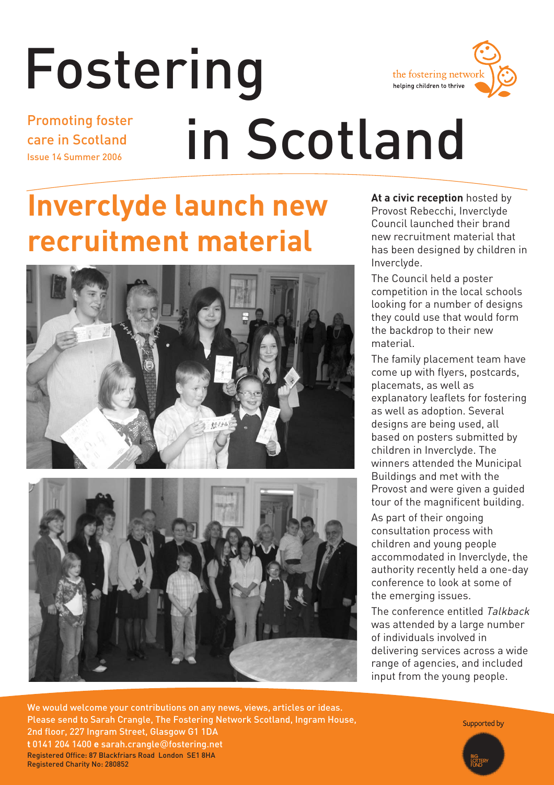

## Fostering in Scotland Promoting foster care in Scotland Issue 14 Summer 2006

# **Inverclyde launch new recruitment material**





**At a civic reception** hosted by Provost Rebecchi, Inverclyde Council launched their brand new recruitment material that has been designed by children in Inverclyde.

The Council held a poster competition in the local schools looking for a number of designs they could use that would form the backdrop to their new material.

The family placement team have come up with flyers, postcards, placemats, as well as explanatory leaflets for fostering as well as adoption. Several designs are being used, all based on posters submitted by children in Inverclyde. The winners attended the Municipal Buildings and met with the Provost and were given a guided tour of the magnificent building.

As part of their ongoing consultation process with children and young people accommodated in Inverclyde, the authority recently held a one-day conference to look at some of the emerging issues.

The conference entitled Talkback was attended by a large number of individuals involved in delivering services across a wide range of agencies, and included input from the young people.

We would welcome your contributions on any news, views, articles or ideas. Please send to Sarah Crangle, The Fostering Network Scotland, Ingram House, 2nd floor, 227 Ingram Street, Glasgow G1 1DA **t** 0141 204 1400 **e** sarah.crangle@fostering.net Registered Office: 87 Blackfriars Road London SE1 8HA Registered Charity No: 280852

Supported by

Fostering in Scotland **1**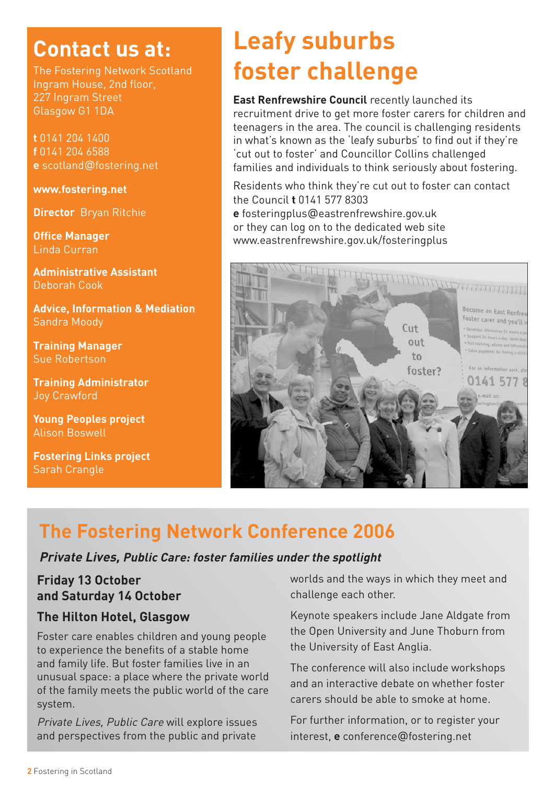### **Contact us at:**

The Fostering Network Scotland Ingram House, 2nd floor, 227 Ingram Street Glasgow G1 1DA

**t** 0141 204 1400 **f** 0141 204 6588 **e** scotland@fostering.net

**www.fostering.net**

**Director** Bryan Ritchie

**Office Manager** Linda Curran

**Administrative Assistant**  Deborah Cook

**Advice, Information & Mediation**  Sandra Moody

**Training Manager** Sue Robertson

**Training Administrator**  Joy Crawford

**Young Peoples project** Alison Boswell

**Fostering Links project** Sarah Crangle

## **Leafy suburbs foster challenge**

**East Renfrewshire Council** recently launched its recruitment drive to get more foster carers for children and teenagers in the area. The council is challenging residents in what's known as the 'leafy suburbs' to find out if they're 'cut out to foster' and Councillor Collins challenged families and individuals to think seriously about fostering.

Residents who think they're cut out to foster can contact the Council **t** 0141 577 8303

**e** fosteringplus@eastrenfrewshire.gov.uk or they can log on to the dedicated web site www.eastrenfrewshire.gov.uk/fosteringplus



### **The Fostering Network Conference 2006**

#### **Private Lives, Public Care: foster families under the spotlight**

#### **Friday 13 October and Saturday 14 October**

#### **The Hilton Hotel, Glasgow**

Foster care enables children and young people to experience the benefits of a stable home and family life. But foster families live in an unusual space: a place where the private world of the family meets the public world of the care system.

Private Lives, Public Care will explore issues and perspectives from the public and private

worlds and the ways in which they meet and challenge each other.

Keynote speakers include Jane Aldgate from the Open University and June Thoburn from the University of East Anglia.

The conference will also include workshops and an interactive debate on whether foster carers should be able to smoke at home.

For further information, or to register your interest, **e** conference@fostering.net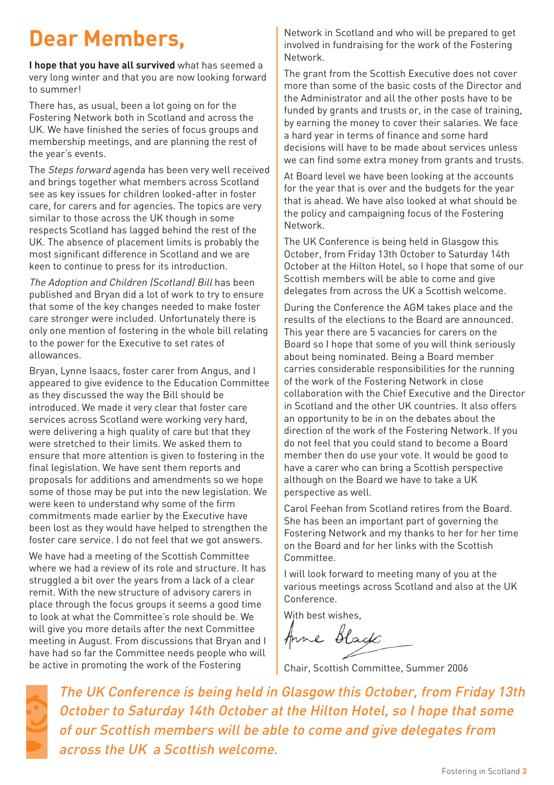## **Dear Members,**

**I hope that you have all survived** what has seemed a very long winter and that you are now looking forward to summer!

There has, as usual, been a lot going on for the Fostering Network both in Scotland and across the UK. We have finished the series of focus groups and membership meetings, and are planning the rest of the year's events.

The Steps forward agenda has been very well received and brings together what members across Scotland see as key issues for children looked-after in foster care, for carers and for agencies. The topics are very similar to those across the UK though in some respects Scotland has lagged behind the rest of the UK. The absence of placement limits is probably the most significant difference in Scotland and we are keen to continue to press for its introduction.

The Adoption and Children (Scotland) Bill has been published and Bryan did a lot of work to try to ensure that some of the key changes needed to make foster care stronger were included. Unfortunately there is only one mention of fostering in the whole bill relating to the power for the Executive to set rates of allowances.

Bryan, Lynne Isaacs, foster carer from Angus, and I appeared to give evidence to the Education Committee as they discussed the way the Bill should be introduced. We made it very clear that foster care services across Scotland were working very hard, were delivering a high quality of care but that they were stretched to their limits. We asked them to ensure that more attention is given to fostering in the final legislation. We have sent them reports and proposals for additions and amendments so we hope some of those may be put into the new legislation. We were keen to understand why some of the firm commitments made earlier by the Executive have been lost as they would have helped to strengthen the foster care service. I do not feel that we got answers.

We have had a meeting of the Scottish Committee where we had a review of its role and structure. It has struggled a bit over the years from a lack of a clear remit. With the new structure of advisory carers in place through the focus groups it seems a good time to look at what the Committee's role should be. We will give you more details after the next Committee meeting in August. From discussions that Bryan and I have had so far the Committee needs people who will be active in promoting the work of the Fostering

Network in Scotland and who will be prepared to get involved in fundraising for the work of the Fostering Network.

The grant from the Scottish Executive does not cover more than some of the basic costs of the Director and the Administrator and all the other posts have to be funded by grants and trusts or, in the case of training, by earning the money to cover their salaries. We face a hard year in terms of finance and some hard decisions will have to be made about services unless we can find some extra money from grants and trusts.

At Board level we have been looking at the accounts for the year that is over and the budgets for the year that is ahead. We have also looked at what should be the policy and campaigning focus of the Fostering Network.

The UK Conference is being held in Glasgow this October, from Friday 13th October to Saturday 14th October at the Hilton Hotel, so I hope that some of our Scottish members will be able to come and give delegates from across the UK a Scottish welcome.

During the Conference the AGM takes place and the results of the elections to the Board are announced. This year there are 5 vacancies for carers on the Board so I hope that some of you will think seriously about being nominated. Being a Board member carries considerable responsibilities for the running of the work of the Fostering Network in close collaboration with the Chief Executive and the Director in Scotland and the other UK countries. It also offers an opportunity to be in on the debates about the direction of the work of the Fostering Network. If you do not feel that you could stand to become a Board member then do use your vote. It would be good to have a carer who can bring a Scottish perspective although on the Board we have to take a UK perspective as well.

Carol Feehan from Scotland retires from the Board. She has been an important part of governing the Fostering Network and my thanks to her for her time on the Board and for her links with the Scottish Committee.

I will look forward to meeting many of you at the various meetings across Scotland and also at the UK Conference.

With best wishes,

Anne Black

Chair, Scottish Committee, Summer 2006



The UK Conference is being held in Glasgow this October, from Friday 13th October to Saturday 14th October at the Hilton Hotel, so I hope that some of our Scottish members will be able to come and give delegates from across the UK a Scottish welcome.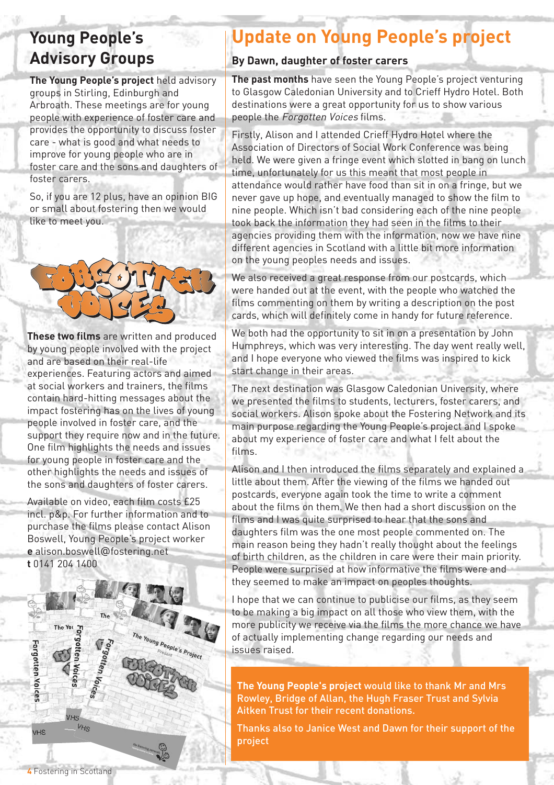### **Young People's Advisory Groups**

**The Young People's project** held advisory groups in Stirling, Edinburgh and Arbroath. These meetings are for young people with experience of foster care and provides the opportunity to discuss foster care - what is good and what needs to improve for young people who are in foster care and the sons and daughters of foster carers.

So, if you are 12 plus, have an opinion BIG or small about fostering then we would like to meet you.



**These two films** are written and produced by young people involved with the project and are based on their real-life experiences. Featuring actors and aimed at social workers and trainers, the films contain hard-hitting messages about the impact fostering has on the lives of young people involved in foster care, and the support they require now and in the future. One film highlights the needs and issues for young people in foster care and the other highlights the needs and issues of the sons and daughters of foster carers.

Available on video, each film costs £25 incl. p&p. For further information and to purchase the films please contact Alison Boswell, Young People's project worker **e** alison.boswell@fostering.net **t** 0141 204 1400



### **Update on Young People's project**

#### **By Dawn, daughter of foster carers**

**The past months** have seen the Young People's project venturing to Glasgow Caledonian University and to Crieff Hydro Hotel. Both destinations were a great opportunity for us to show various people the Forgotten Voices films.

Firstly, Alison and I attended Crieff Hydro Hotel where the Association of Directors of Social Work Conference was being held. We were given a fringe event which slotted in bang on lunch time, unfortunately for us this meant that most people in attendance would rather have food than sit in on a fringe, but we never gave up hope, and eventually managed to show the film to nine people. Which isn't bad considering each of the nine people took back the information they had seen in the films to their agencies providing them with the information, now we have nine different agencies in Scotland with a little bit more information on the young peoples needs and issues.

We also received a great response from our postcards, which were handed out at the event, with the people who watched the films commenting on them by writing a description on the post cards, which will definitely come in handy for future reference.

We both had the opportunity to sit in on a presentation by John Humphreys, which was very interesting. The day went really well, and I hope everyone who viewed the films was inspired to kick start change in their areas.

The next destination was Glasgow Caledonian University, where we presented the films to students, lecturers, foster carers, and social workers. Alison spoke about the Fostering Network and its main purpose regarding the Young People's project and I spoke about my experience of foster care and what I felt about the films.

Alison and I then introduced the films separately and explained a little about them. After the viewing of the films we handed out postcards, everyone again took the time to write a comment about the films on them. We then had a short discussion on the films and I was quite surprised to hear that the sons and daughters film was the one most people commented on. The main reason being they hadn't really thought about the feelings of birth children, as the children in care were their main priority. People were surprised at how informative the films were and they seemed to make an impact on peoples thoughts.

I hope that we can continue to publicise our films, as they seem to be making a big impact on all those who view them, with the more publicity we receive via the films the more chance we have of actually implementing change regarding our needs and issues raised.

**The Young People's project** would like to thank Mr and Mrs Rowley, Bridge of Allan, the Hugh Fraser Trust and Sylvia Aitken Trust for their recent donations.

Thanks also to Janice West and Dawn for their support of the project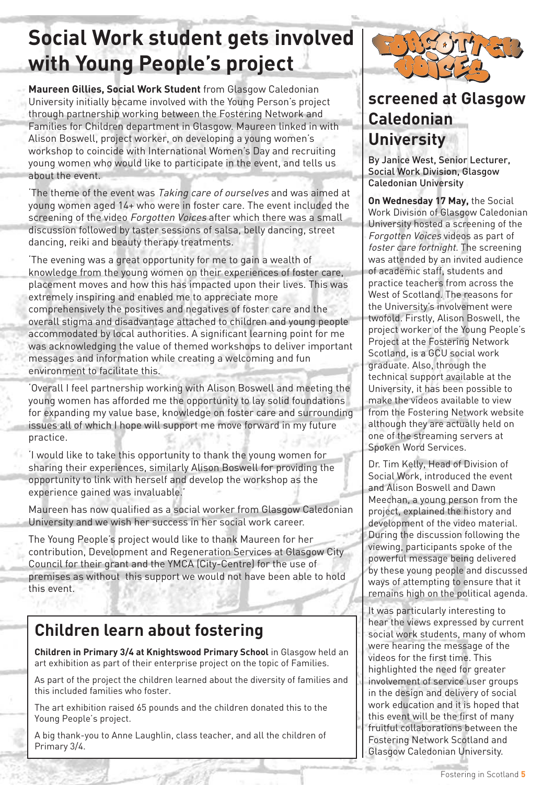## **Social Work student gets involved with Young People's project**

**Maureen Gillies, Social Work Student** from Glasgow Caledonian University initially became involved with the Young Person's project through partnership working between the Fostering Network and Families for Children department in Glasgow. Maureen linked in with Alison Boswell, project worker, on developing a young women's workshop to coincide with International Women's Day and recruiting young women who would like to participate in the event, and tells us about the event.

The theme of the event was Taking care of ourselves and was aimed at young women aged 14+ who were in foster care. The event included the screening of the video Forgotten Voices after which there was a small discussion followed by taster sessions of salsa, belly dancing, street dancing, reiki and beauty therapy treatments.

'The evening was a great opportunity for me to gain a wealth of knowledge from the young women on their experiences of foster care, placement moves and how this has impacted upon their lives. This was extremely inspiring and enabled me to appreciate more comprehensively the positives and negatives of foster care and the overall stigma and disadvantage attached to children and young people accommodated by local authorities. A significant learning point for me was acknowledging the value of themed workshops to deliver important messages and information while creating a welcoming and fun environment to facilitate this.

'Overall I feel partnership working with Alison Boswell and meeting the young women has afforded me the opportunity to lay solid foundations for expanding my value base, knowledge on foster care and surrounding issues all of which I hope will support me move forward in my future practice.

'I would like to take this opportunity to thank the young women for sharing their experiences, similarly Alison Boswell for providing the opportunity to link with herself and develop the workshop as the experience gained was invaluable.'

Maureen has now qualified as a social worker from Glasgow Caledonian University and we wish her success in her social work career.

The Young People's project would like to thank Maureen for her contribution, Development and Regeneration Services at Glasgow City Council for their grant and the YMCA (City-Centre) for the use of premises as without this support we would not have been able to hold this event.

### **Children learn about fostering**

**Children in Primary 3/4 at Knightswood Primary School** in Glasgow held an art exhibition as part of their enterprise project on the topic of Families.

As part of the project the children learned about the diversity of families and this included families who foster.

The art exhibition raised 65 pounds and the children donated this to the Young People's project.

A big thank-you to Anne Laughlin, class teacher, and all the children of Primary 3/4.



### **screened at Glasgow Caledonian University**

By Janice West, Senior Lecturer, Social Work Division, Glasgow Caledonian University

**On Wednesday 17 May,** the Social Work Division of Glasgow Caledonian University hosted a screening of the Forgotten Voices videos as part of foster care fortnight. The screening was attended by an invited audience of academic staff, students and practice teachers from across the West of Scotland. The reasons for the University's involvement were twofold. Firstly, Alison Boswell, the project worker of the Young People's Project at the Fostering Network Scotland, is a GCU social work graduate. Also, through the technical support available at the University, it has been possible to make the videos available to view from the Fostering Network website although they are actually held on one of the streaming servers at Spoken Word Services.

Dr. Tim Kelly, Head of Division of Social Work, introduced the event and Alison Boswell and Dawn Meechan, a young person from the project, explained the history and development of the video material. During the discussion following the viewing, participants spoke of the powerful message being delivered by these young people and discussed ways of attempting to ensure that it remains high on the political agenda.

It was particularly interesting to hear the views expressed by current social work students, many of whom were hearing the message of the videos for the first time. This highlighted the need for greater involvement of service user groups in the design and delivery of social work education and it is hoped that this event will be the first of many fruitful collaborations between the Fostering Network Scotland and Glasgow Caledonian University.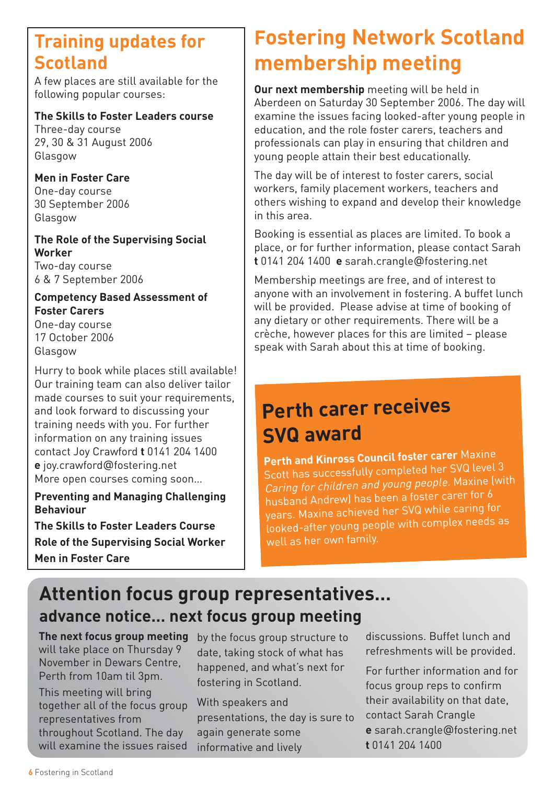### **Training updates for Scotland**

A few places are still available for the following popular courses:

#### **The Skills to Foster Leaders course**

Three-day course 29, 30 & 31 August 2006 Glasgow

#### **Men in Foster Care**

One-day course 30 September 2006 Glasgow

#### **The Role of the Supervising Social Worker**

Two-day course 6 & 7 September 2006

#### **Competency Based Assessment of Foster Carers**

One-day course 17 October 2006 Glasgow

Hurry to book while places still available! Our training team can also deliver tailor made courses to suit your requirements. and look forward to discussing your training needs with you. For further information on any training issues contact Joy Crawford **t** 0141 204 1400 **e** joy.crawford@fostering.net More open courses coming soon…

#### **Preventing and Managing Challenging Behaviour**

**The Skills to Foster Leaders Course Role of the Supervising Social Worker Men in Foster Care**

## **Fostering Network Scotland membership meeting**

**Our next membership** meeting will be held in Aberdeen on Saturday 30 September 2006. The day will examine the issues facing looked-after young people in education, and the role foster carers, teachers and professionals can play in ensuring that children and young people attain their best educationally.

The day will be of interest to foster carers, social workers, family placement workers, teachers and others wishing to expand and develop their knowledge in this area.

Booking is essential as places are limited. To book a place, or for further information, please contact Sarah **t** 0141 204 1400 **e** sarah.crangle@fostering.net

Membership meetings are free, and of interest to anyone with an involvement in fostering. A buffet lunch will be provided. Please advise at time of booking of any dietary or other requirements. There will be a crèche, however places for this are limited – please speak with Sarah about this at time of booking.

### **Perth carer receives SVQ award**

**Perth and Kinross Council foster carer** Maxine Scott has successfully completed her SVQ level 3 Caring for children and young people. Maxine (with husband Andrew) has been a foster carer for 6 years. Maxine achieved her SVQ while caring for looked-after young people with complex needs as well as her own family.

### **Attention focus group representatives… advance notice… next focus group meeting**

**The next focus group meeting** will take place on Thursday 9 November in Dewars Centre, Perth from 10am til 3pm.

This meeting will bring together all of the focus group representatives from throughout Scotland. The day will examine the issues raised by the focus group structure to date, taking stock of what has happened, and what's next for fostering in Scotland.

With speakers and presentations, the day is sure to again generate some informative and lively

discussions. Buffet lunch and refreshments will be provided.

For further information and for focus group reps to confirm their availability on that date, contact Sarah Crangle **e** sarah.crangle@fostering.net **t** 0141 204 1400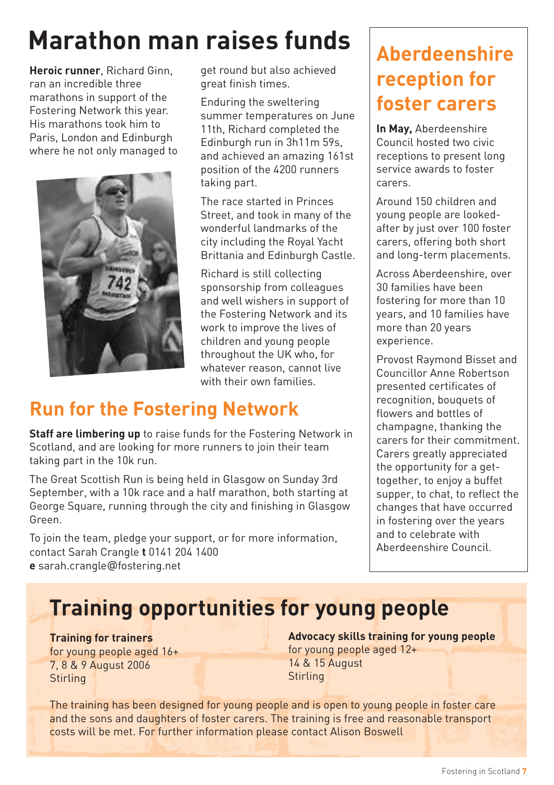# **Marathon man raises funds**

**Heroic runner**, Richard Ginn, ran an incredible three marathons in support of the Fostering Network this year. His marathons took him to Paris, London and Edinburgh where he not only managed to



get round but also achieved great finish times.

Enduring the sweltering summer temperatures on June 11th, Richard completed the Edinburgh run in 3h11m 59s, and achieved an amazing 161st position of the 4200 runners taking part.

The race started in Princes Street, and took in many of the wonderful landmarks of the city including the Royal Yacht Brittania and Edinburgh Castle.

Richard is still collecting sponsorship from colleagues and well wishers in support of the Fostering Network and its work to improve the lives of children and young people throughout the UK who, for whatever reason, cannot live with their own families

### **Run for the Fostering Network**

**Staff are limbering up** to raise funds for the Fostering Network in Scotland, and are looking for more runners to join their team taking part in the 10k run.

The Great Scottish Run is being held in Glasgow on Sunday 3rd September, with a 10k race and a half marathon, both starting at George Square, running through the city and finishing in Glasgow Green.

To join the team, pledge your support, or for more information, contact Sarah Crangle **t** 0141 204 1400 **e** sarah.crangle@fostering.net

### **Aberdeenshire reception for foster carers**

**In May,** Aberdeenshire Council hosted two civic receptions to present long service awards to foster carers.

Around 150 children and young people are lookedafter by just over 100 foster carers, offering both short and long-term placements.

Across Aberdeenshire, over 30 families have been fostering for more than 10 years, and 10 families have more than 20 years experience.

Provost Raymond Bisset and Councillor Anne Robertson presented certificates of recognition, bouquets of flowers and bottles of champagne, thanking the carers for their commitment. Carers greatly appreciated the opportunity for a gettogether, to enjoy a buffet supper, to chat, to reflect the changes that have occurred in fostering over the years and to celebrate with Aberdeenshire Council.

## **Training opportunities for young people**

**Training for trainers** for young people aged 16+ 7, 8 & 9 August 2006 **Stirling** 

**Advocacy skills training for young people** for young people aged 12+ 14 & 15 August **Stirling** 

The training has been designed for young people and is open to young people in foster care and the sons and daughters of foster carers. The training is free and reasonable transport costs will be met. For further information please contact Alison Boswell